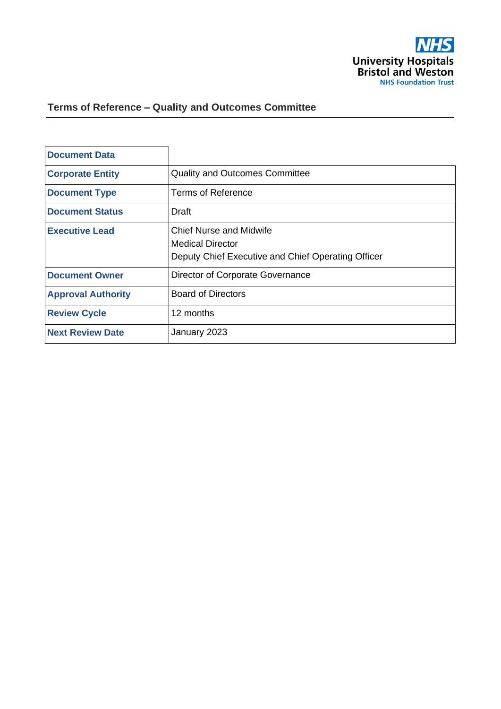

# **Terms of Reference – Quality and Outcomes Committee**

| <b>Document Data</b>      |                                                                                                                 |
|---------------------------|-----------------------------------------------------------------------------------------------------------------|
| <b>Corporate Entity</b>   | <b>Quality and Outcomes Committee</b>                                                                           |
| <b>Document Type</b>      | <b>Terms of Reference</b>                                                                                       |
| <b>Document Status</b>    | Draft                                                                                                           |
| <b>Executive Lead</b>     | <b>Chief Nurse and Midwife</b><br><b>Medical Director</b><br>Deputy Chief Executive and Chief Operating Officer |
| <b>Document Owner</b>     | Director of Corporate Governance                                                                                |
| <b>Approval Authority</b> | <b>Board of Directors</b>                                                                                       |
| <b>Review Cycle</b>       | 12 months                                                                                                       |
| <b>Next Review Date</b>   | January 2023                                                                                                    |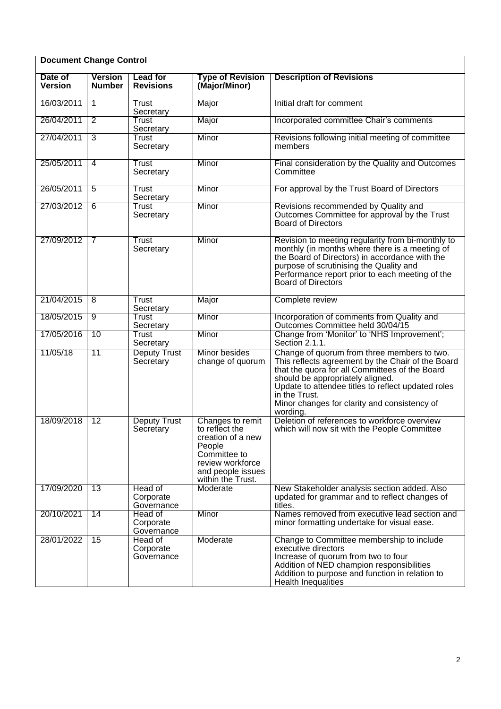| <b>Document Change Control</b> |                                 |                                     |                                                                                                                                                 |                                                                                                                                                                                                                                                                                                                           |  |
|--------------------------------|---------------------------------|-------------------------------------|-------------------------------------------------------------------------------------------------------------------------------------------------|---------------------------------------------------------------------------------------------------------------------------------------------------------------------------------------------------------------------------------------------------------------------------------------------------------------------------|--|
| Date of<br><b>Version</b>      | <b>Version</b><br><b>Number</b> | <b>Lead for</b><br><b>Revisions</b> | <b>Type of Revision</b><br>(Major/Minor)                                                                                                        | <b>Description of Revisions</b>                                                                                                                                                                                                                                                                                           |  |
| 16/03/2011                     | $\mathbf{1}$                    | Trust<br>Secretary                  | Major                                                                                                                                           | Initial draft for comment                                                                                                                                                                                                                                                                                                 |  |
| 26/04/2011                     | $\overline{2}$                  | Trust<br>Secretary                  | Major                                                                                                                                           | Incorporated committee Chair's comments                                                                                                                                                                                                                                                                                   |  |
| 27/04/2011                     | $\overline{3}$                  | Trust<br>Secretary                  | Minor                                                                                                                                           | Revisions following initial meeting of committee<br>members                                                                                                                                                                                                                                                               |  |
| 25/05/2011                     | 4                               | Trust<br>Secretary                  | Minor                                                                                                                                           | Final consideration by the Quality and Outcomes<br>Committee                                                                                                                                                                                                                                                              |  |
| 26/05/2011                     | 5                               | Trust<br>Secretary                  | Minor                                                                                                                                           | For approval by the Trust Board of Directors                                                                                                                                                                                                                                                                              |  |
| 27/03/2012                     | $\overline{6}$                  | Trust<br>Secretary                  | Minor                                                                                                                                           | Revisions recommended by Quality and<br>Outcomes Committee for approval by the Trust<br><b>Board of Directors</b>                                                                                                                                                                                                         |  |
| 27/09/2012                     | $\overline{7}$                  | Trust<br>Secretary                  | Minor                                                                                                                                           | Revision to meeting regularity from bi-monthly to<br>monthly (in months where there is a meeting of<br>the Board of Directors) in accordance with the<br>purpose of scrutinising the Quality and<br>Performance report prior to each meeting of the<br>Board of Directors                                                 |  |
| 21/04/2015                     | 8                               | Trust<br>Secretary                  | Major                                                                                                                                           | Complete review                                                                                                                                                                                                                                                                                                           |  |
| 18/05/2015                     | $\overline{9}$                  | Trust<br>Secretary                  | Minor                                                                                                                                           | Incorporation of comments from Quality and<br>Outcomes Committee held 30/04/15                                                                                                                                                                                                                                            |  |
| 17/05/2016                     | 10                              | <b>Trust</b><br>Secretary           | Minor                                                                                                                                           | Change from 'Monitor' to 'NHS Improvement';<br>Section 2.1.1.                                                                                                                                                                                                                                                             |  |
| 11/05/18                       | $\overline{11}$                 | <b>Deputy Trust</b><br>Secretary    | Minor besides<br>change of quorum                                                                                                               | Change of quorum from three members to two.<br>This reflects agreement by the Chair of the Board<br>that the quora for all Committees of the Board<br>should be appropriately aligned.<br>Update to attendee titles to reflect updated roles<br>in the Trust.<br>Minor changes for clarity and consistency of<br>wording. |  |
| 18/09/2018                     | $\overline{12}$                 | <b>Deputy Trust</b><br>Secretary    | Changes to remit<br>to reflect the<br>creation of a new<br>People<br>Committee to<br>review workforce<br>and people issues<br>within the Trust. | Deletion of references to workforce overview<br>which will now sit with the People Committee                                                                                                                                                                                                                              |  |
| 17/09/2020                     | $\overline{13}$                 | Head of<br>Corporate<br>Governance  | Moderate                                                                                                                                        | New Stakeholder analysis section added. Also<br>updated for grammar and to reflect changes of<br>titles.                                                                                                                                                                                                                  |  |
| 20/10/2021                     | $\overline{14}$                 | Head of<br>Corporate<br>Governance  | Minor                                                                                                                                           | Names removed from executive lead section and<br>minor formatting undertake for visual ease.                                                                                                                                                                                                                              |  |
| 28/01/2022                     | $\overline{15}$                 | Head of<br>Corporate<br>Governance  | Moderate                                                                                                                                        | Change to Committee membership to include<br>executive directors<br>Increase of quorum from two to four<br>Addition of NED champion responsibilities<br>Addition to purpose and function in relation to<br><b>Health Inequalities</b>                                                                                     |  |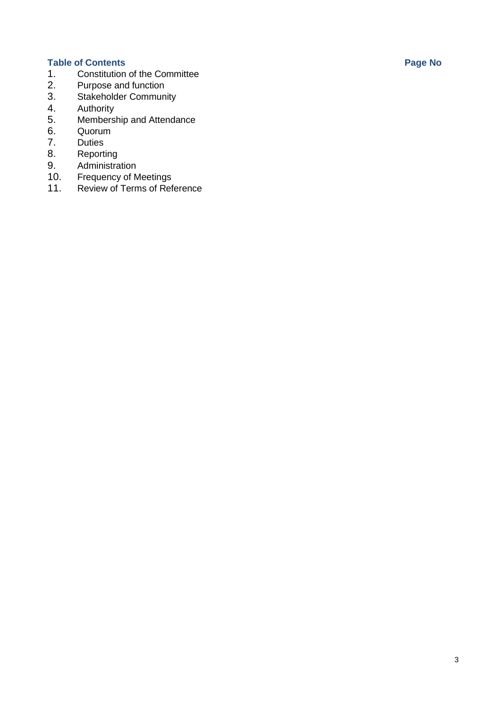- **Table of Contents Page No** 1. [Constitution of](#page-3-0) the Committee<br>2. Purpose and function
- 2. Purpose [and function](#page-3-1)<br>3. Stakeholder Commun
- 3. Stakeholder Community<br>4. Authority
- 4. Authority<br>5. Members
- Membership [and Attendance](#page-6-0)
- 6. [Quorum](#page-7-0)<br>7. Duties
- 7. [Duties](#page-7-1)<br>8. Report
- 8. [Reporting](#page-6-0)<br>9. Administra
- 9. Administration<br>10. Frequency of M
- 10. [Frequency](#page-9-0) of Meetings<br>11. Review of Terms of Ref
- Review of Terms of [Reference](#page-10-0)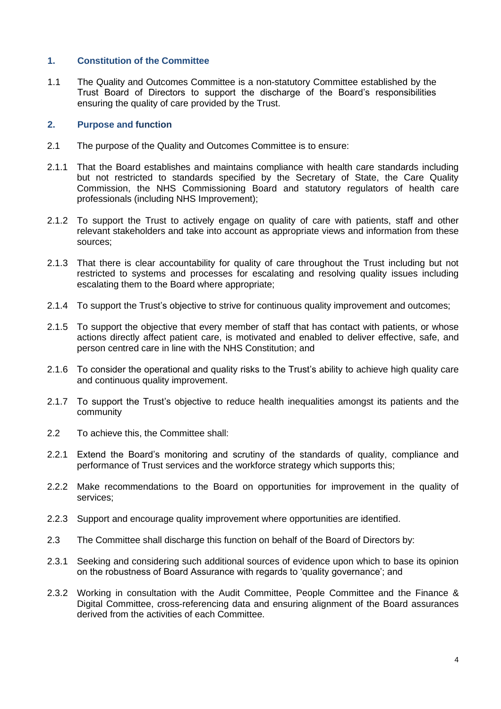### <span id="page-3-0"></span>**1. Constitution of the Committee**

1.1 The Quality and Outcomes Committee is a non-statutory Committee established by the Trust Board of Directors to support the discharge of the Board's responsibilities ensuring the quality of care provided by the Trust.

#### <span id="page-3-1"></span>**2. Purpose and function**

- 2.1 The purpose of the Quality and Outcomes Committee is to ensure:
- 2.1.1 That the Board establishes and maintains compliance with health care standards including but not restricted to standards specified by the Secretary of State, the Care Quality Commission, the NHS Commissioning Board and statutory regulators of health care professionals (including NHS Improvement);
- 2.1.2 To support the Trust to actively engage on quality of care with patients, staff and other relevant stakeholders and take into account as appropriate views and information from these sources;
- 2.1.3 That there is clear accountability for quality of care throughout the Trust including but not restricted to systems and processes for escalating and resolving quality issues including escalating them to the Board where appropriate;
- 2.1.4 To support the Trust's objective to strive for continuous quality improvement and outcomes;
- 2.1.5 To support the objective that every member of staff that has contact with patients, or whose actions directly affect patient care, is motivated and enabled to deliver effective, safe, and person centred care in line with the NHS Constitution; and
- 2.1.6 To consider the operational and quality risks to the Trust's ability to achieve high quality care and continuous quality improvement.
- 2.1.7 To support the Trust's objective to reduce health inequalities amongst its patients and the community
- 2.2 To achieve this, the Committee shall:
- 2.2.1 Extend the Board's monitoring and scrutiny of the standards of quality, compliance and performance of Trust services and the workforce strategy which supports this;
- 2.2.2 Make recommendations to the Board on opportunities for improvement in the quality of services;
- 2.2.3 Support and encourage quality improvement where opportunities are identified.
- 2.3 The Committee shall discharge this function on behalf of the Board of Directors by:
- 2.3.1 Seeking and considering such additional sources of evidence upon which to base its opinion on the robustness of Board Assurance with regards to 'quality governance'; and
- 2.3.2 Working in consultation with the Audit Committee, People Committee and the Finance & Digital Committee, cross-referencing data and ensuring alignment of the Board assurances derived from the activities of each Committee.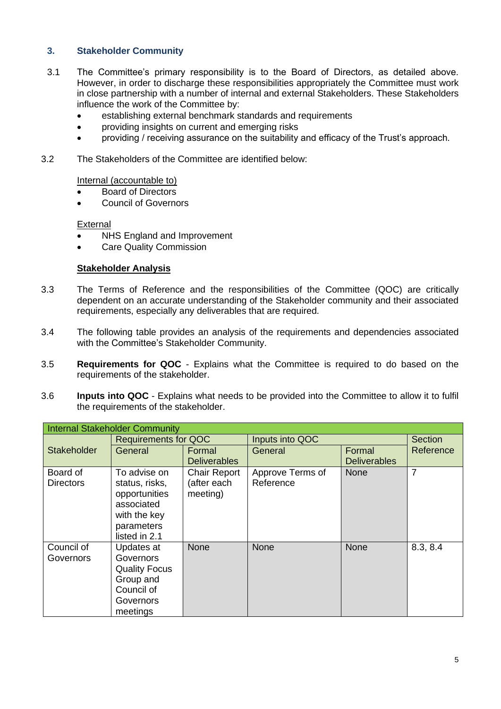# **3. Stakeholder Community**

- 3.1 The Committee's primary responsibility is to the Board of Directors, as detailed above. However, in order to discharge these responsibilities appropriately the Committee must work in close partnership with a number of internal and external Stakeholders. These Stakeholders influence the work of the Committee by:
	- establishing external benchmark standards and requirements
	- providing insights on current and emerging risks
	- providing / receiving assurance on the suitability and efficacy of the Trust's approach.
- 3.2 The Stakeholders of the Committee are identified below:

Internal (accountable to)

- Board of Directors
- Council of Governors

# **External**

- NHS England and Improvement
- **Care Quality Commission**

#### **Stakeholder Analysis**

- 3.3 The Terms of Reference and the responsibilities of the Committee (QOC) are critically dependent on an accurate understanding of the Stakeholder community and their associated requirements, especially any deliverables that are required.
- 3.4 The following table provides an analysis of the requirements and dependencies associated with the Committee's Stakeholder Community.
- 3.5 **Requirements for QOC** Explains what the Committee is required to do based on the requirements of the stakeholder.
- 3.6 **Inputs into QOC** Explains what needs to be provided into the Committee to allow it to fulfil the requirements of the stakeholder.

| <b>Internal Stakeholder Community</b> |                                                                                                              |                                                |                               |                     |                |  |
|---------------------------------------|--------------------------------------------------------------------------------------------------------------|------------------------------------------------|-------------------------------|---------------------|----------------|--|
| <b>Stakeholder</b>                    | <b>Requirements for QOC</b>                                                                                  |                                                | Inputs into QOC               |                     | <b>Section</b> |  |
|                                       | General                                                                                                      | Formal                                         | General                       | Formal              | Reference      |  |
|                                       |                                                                                                              | <b>Deliverables</b>                            |                               | <b>Deliverables</b> |                |  |
| Board of<br><b>Directors</b>          | To advise on<br>status, risks,<br>opportunities<br>associated<br>with the key<br>parameters<br>listed in 2.1 | <b>Chair Report</b><br>(after each<br>meeting) | Approve Terms of<br>Reference | <b>None</b>         | 7              |  |
| Council of<br>Governors               | Updates at<br>Governors<br><b>Quality Focus</b><br>Group and<br>Council of<br>Governors<br>meetings          | <b>None</b>                                    | <b>None</b>                   | None                | 8.3, 8.4       |  |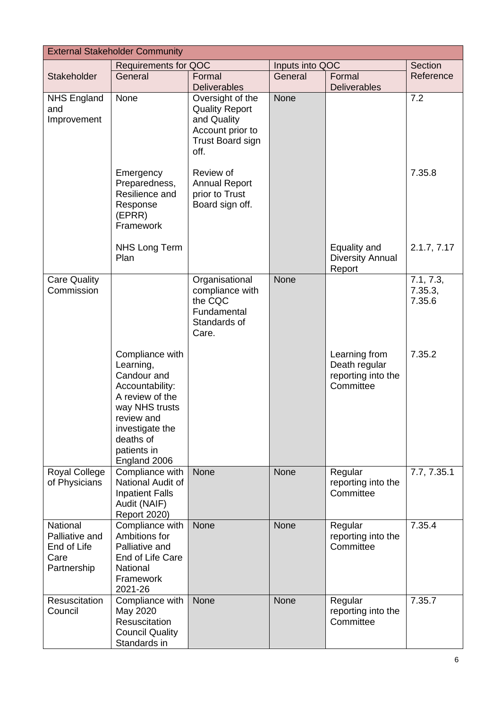| <b>External Stakeholder Community</b>                                   |                                                                                                                                                                                  |                                                                                                                 |                 |                                                                   |                                |  |  |
|-------------------------------------------------------------------------|----------------------------------------------------------------------------------------------------------------------------------------------------------------------------------|-----------------------------------------------------------------------------------------------------------------|-----------------|-------------------------------------------------------------------|--------------------------------|--|--|
|                                                                         | <b>Requirements for QOC</b>                                                                                                                                                      |                                                                                                                 | Inputs into QOC |                                                                   | Section                        |  |  |
| Stakeholder                                                             | General                                                                                                                                                                          | Formal<br><b>Deliverables</b>                                                                                   | General         | Formal<br><b>Deliverables</b>                                     | Reference                      |  |  |
| <b>NHS England</b><br>and<br>Improvement                                | None                                                                                                                                                                             | Oversight of the<br><b>Quality Report</b><br>and Quality<br>Account prior to<br><b>Trust Board sign</b><br>off. | <b>None</b>     |                                                                   | 7.2                            |  |  |
|                                                                         | Emergency<br>Preparedness,<br>Resilience and<br>Response<br>(EPRR)<br>Framework                                                                                                  | Review of<br><b>Annual Report</b><br>prior to Trust<br>Board sign off.                                          |                 |                                                                   | 7.35.8                         |  |  |
|                                                                         | <b>NHS Long Term</b><br>Plan                                                                                                                                                     |                                                                                                                 |                 | Equality and<br><b>Diversity Annual</b><br>Report                 | 2.1.7, 7.17                    |  |  |
| <b>Care Quality</b><br>Commission                                       |                                                                                                                                                                                  | Organisational<br>compliance with<br>the CQC<br>Fundamental<br>Standards of<br>Care.                            | <b>None</b>     |                                                                   | 7.1, 7.3,<br>7.35.3,<br>7.35.6 |  |  |
|                                                                         | Compliance with<br>Learning,<br>Candour and<br>Accountability:<br>A review of the<br>way NHS trusts<br>review and<br>investigate the<br>deaths of<br>patients in<br>England 2006 |                                                                                                                 |                 | Learning from<br>Death regular<br>reporting into the<br>Committee | 7.35.2                         |  |  |
| <b>Royal College</b><br>of Physicians                                   | Compliance with<br>National Audit of<br><b>Inpatient Falls</b><br>Audit (NAIF)<br><b>Report 2020)</b>                                                                            | <b>None</b>                                                                                                     | None            | Regular<br>reporting into the<br>Committee                        | 7.7, 7.35.1                    |  |  |
| <b>National</b><br>Palliative and<br>End of Life<br>Care<br>Partnership | Compliance with<br>Ambitions for<br>Palliative and<br>End of Life Care<br>National<br>Framework<br>2021-26                                                                       | <b>None</b>                                                                                                     | <b>None</b>     | Regular<br>reporting into the<br>Committee                        | 7.35.4                         |  |  |
| Resuscitation<br>Council                                                | Compliance with<br>May 2020<br>Resuscitation<br><b>Council Quality</b><br>Standards in                                                                                           | <b>None</b>                                                                                                     | None            | Regular<br>reporting into the<br>Committee                        | 7.35.7                         |  |  |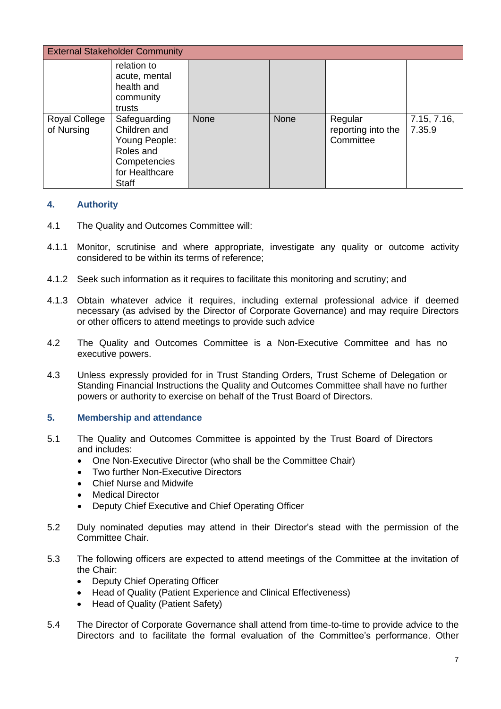| <b>External Stakeholder Community</b> |                                                                                                              |             |      |                                            |                       |
|---------------------------------------|--------------------------------------------------------------------------------------------------------------|-------------|------|--------------------------------------------|-----------------------|
|                                       | relation to<br>acute, mental<br>health and<br>community<br>trusts                                            |             |      |                                            |                       |
| Royal College<br>of Nursing           | Safeguarding<br>Children and<br>Young People:<br>Roles and<br>Competencies<br>for Healthcare<br><b>Staff</b> | <b>None</b> | None | Regular<br>reporting into the<br>Committee | 7.15, 7.16,<br>7.35.9 |

### **4. Authority**

- 4.1 The Quality and Outcomes Committee will:
- 4.1.1 Monitor, scrutinise and where appropriate, investigate any quality or outcome activity considered to be within its terms of reference;
- 4.1.2 Seek such information as it requires to facilitate this monitoring and scrutiny; and
- 4.1.3 Obtain whatever advice it requires, including external professional advice if deemed necessary (as advised by the Director of Corporate Governance) and may require Directors or other officers to attend meetings to provide such advice
- 4.2 The Quality and Outcomes Committee is a Non-Executive Committee and has no executive powers.
- 4.3 Unless expressly provided for in Trust Standing Orders, Trust Scheme of Delegation or Standing Financial Instructions the Quality and Outcomes Committee shall have no further powers or authority to exercise on behalf of the Trust Board of Directors.

### <span id="page-6-0"></span>**5. Membership and attendance**

- 5.1 The Quality and Outcomes Committee is appointed by the Trust Board of Directors and includes:
	- One Non-Executive Director (who shall be the Committee Chair)
	- Two further Non-Executive Directors
	- Chief Nurse and Midwife
	- Medical Director
	- Deputy Chief Executive and Chief Operating Officer
- 5.2 Duly nominated deputies may attend in their Director's stead with the permission of the Committee Chair.
- 5.3 The following officers are expected to attend meetings of the Committee at the invitation of the Chair:
	- Deputy Chief Operating Officer
	- Head of Quality (Patient Experience and Clinical Effectiveness)
	- Head of Quality (Patient Safety)
- 5.4 The Director of Corporate Governance shall attend from time-to-time to provide advice to the Directors and to facilitate the formal evaluation of the Committee's performance. Other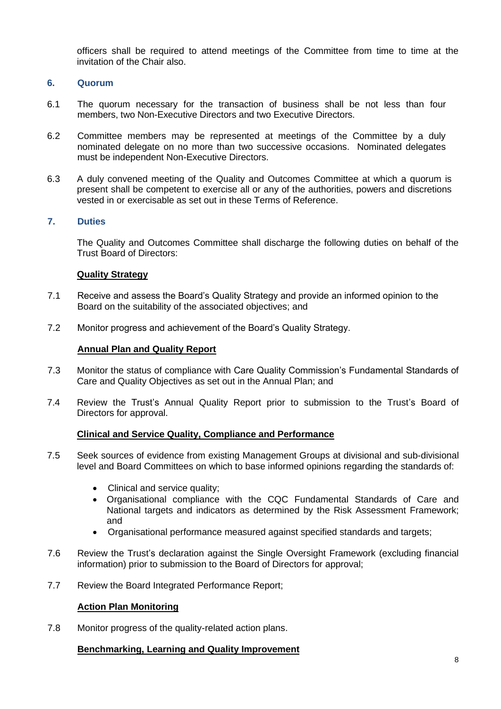officers shall be required to attend meetings of the Committee from time to time at the invitation of the Chair also.

#### <span id="page-7-0"></span>**6. Quorum**

- 6.1 The quorum necessary for the transaction of business shall be not less than four members, two Non-Executive Directors and two Executive Directors.
- 6.2 Committee members may be represented at meetings of the Committee by a duly nominated delegate on no more than two successive occasions. Nominated delegates must be independent Non-Executive Directors.
- 6.3 A duly convened meeting of the Quality and Outcomes Committee at which a quorum is present shall be competent to exercise all or any of the authorities, powers and discretions vested in or exercisable as set out in these Terms of Reference.

#### <span id="page-7-1"></span>**7. Duties**

The Quality and Outcomes Committee shall discharge the following duties on behalf of the Trust Board of Directors:

#### **Quality Strategy**

- 7.1 Receive and assess the Board's Quality Strategy and provide an informed opinion to the Board on the suitability of the associated objectives; and
- 7.2 Monitor progress and achievement of the Board's Quality Strategy.

#### **Annual Plan and Quality Report**

- 7.3 Monitor the status of compliance with Care Quality Commission's Fundamental Standards of Care and Quality Objectives as set out in the Annual Plan; and
- 7.4 Review the Trust's Annual Quality Report prior to submission to the Trust's Board of Directors for approval.

#### **Clinical and Service Quality, Compliance and Performance**

- 7.5 Seek sources of evidence from existing Management Groups at divisional and sub-divisional level and Board Committees on which to base informed opinions regarding the standards of:
	- Clinical and service quality;
	- Organisational compliance with the CQC Fundamental Standards of Care and National targets and indicators as determined by the Risk Assessment Framework; and
	- Organisational performance measured against specified standards and targets;
- 7.6 Review the Trust's declaration against the Single Oversight Framework (excluding financial information) prior to submission to the Board of Directors for approval;
- 7.7 Review the Board Integrated Performance Report;

#### **Action Plan Monitoring**

7.8 Monitor progress of the quality-related action plans.

#### **Benchmarking, Learning and Quality Improvement**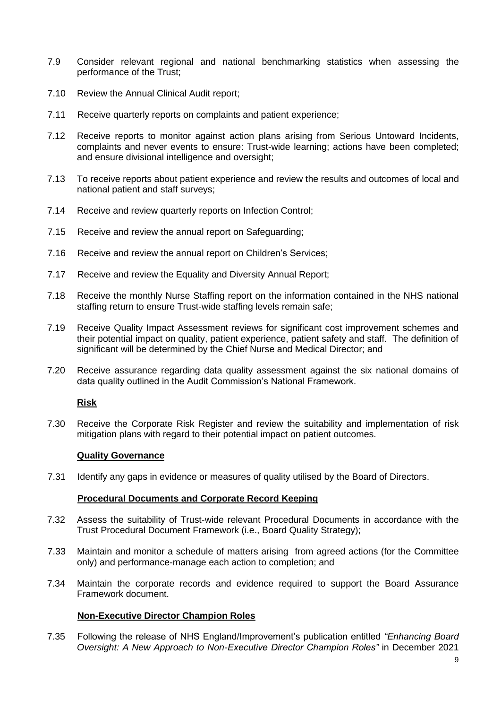- 7.9 Consider relevant regional and national benchmarking statistics when assessing the performance of the Trust;
- 7.10 Review the Annual Clinical Audit report;
- 7.11 Receive quarterly reports on complaints and patient experience;
- 7.12 Receive reports to monitor against action plans arising from Serious Untoward Incidents, complaints and never events to ensure: Trust-wide learning; actions have been completed; and ensure divisional intelligence and oversight;
- 7.13 To receive reports about patient experience and review the results and outcomes of local and national patient and staff surveys;
- 7.14 Receive and review quarterly reports on Infection Control;
- 7.15 Receive and review the annual report on Safeguarding;
- 7.16 Receive and review the annual report on Children's Services;
- 7.17 Receive and review the Equality and Diversity Annual Report;
- 7.18 Receive the monthly Nurse Staffing report on the information contained in the NHS national staffing return to ensure Trust-wide staffing levels remain safe;
- 7.19 Receive Quality Impact Assessment reviews for significant cost improvement schemes and their potential impact on quality, patient experience, patient safety and staff. The definition of significant will be determined by the Chief Nurse and Medical Director; and
- 7.20 Receive assurance regarding data quality assessment against the six national domains of data quality outlined in the Audit Commission's National Framework.

### **Risk**

7.30 Receive the Corporate Risk Register and review the suitability and implementation of risk mitigation plans with regard to their potential impact on patient outcomes.

#### **Quality Governance**

7.31 Identify any gaps in evidence or measures of quality utilised by the Board of Directors.

#### **Procedural Documents and Corporate Record Keeping**

- 7.32 Assess the suitability of Trust-wide relevant Procedural Documents in accordance with the Trust Procedural Document Framework (i.e., Board Quality Strategy);
- 7.33 Maintain and monitor a schedule of matters arising from agreed actions (for the Committee only) and performance-manage each action to completion; and
- 7.34 Maintain the corporate records and evidence required to support the Board Assurance Framework document.

### **Non-Executive Director Champion Roles**

7.35 Following the release of NHS England/Improvement's publication entitled *"Enhancing Board Oversight: A New Approach to Non-Executive Director Champion Roles"* in December 2021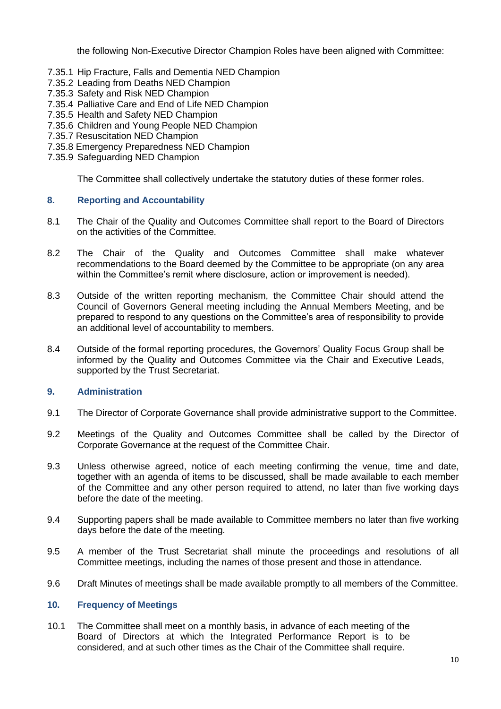the following Non-Executive Director Champion Roles have been aligned with Committee:

- 7.35.1 Hip Fracture, Falls and Dementia NED Champion
- 7.35.2 Leading from Deaths NED Champion
- 7.35.3 Safety and Risk NED Champion
- 7.35.4 Palliative Care and End of Life NED Champion
- 7.35.5 Health and Safety NED Champion
- 7.35.6 Children and Young People NED Champion
- 7.35.7 Resuscitation NED Champion
- 7.35.8 Emergency Preparedness NED Champion
- 7.35.9 Safeguarding NED Champion

The Committee shall collectively undertake the statutory duties of these former roles.

# **8. Reporting and Accountability**

- 8.1 The Chair of the Quality and Outcomes Committee shall report to the Board of Directors on the activities of the Committee.
- 8.2 The Chair of the Quality and Outcomes Committee shall make whatever recommendations to the Board deemed by the Committee to be appropriate (on any area within the Committee's remit where disclosure, action or improvement is needed).
- 8.3 Outside of the written reporting mechanism, the Committee Chair should attend the Council of Governors General meeting including the Annual Members Meeting, and be prepared to respond to any questions on the Committee's area of responsibility to provide an additional level of accountability to members.
- 8.4 Outside of the formal reporting procedures, the Governors' Quality Focus Group shall be informed by the Quality and Outcomes Committee via the Chair and Executive Leads, supported by the Trust Secretariat.

### **9. Administration**

- 9.1 The Director of Corporate Governance shall provide administrative support to the Committee.
- 9.2 Meetings of the Quality and Outcomes Committee shall be called by the Director of Corporate Governance at the request of the Committee Chair.
- 9.3 Unless otherwise agreed, notice of each meeting confirming the venue, time and date, together with an agenda of items to be discussed, shall be made available to each member of the Committee and any other person required to attend, no later than five working days before the date of the meeting.
- 9.4 Supporting papers shall be made available to Committee members no later than five working days before the date of the meeting.
- 9.5 A member of the Trust Secretariat shall minute the proceedings and resolutions of all Committee meetings, including the names of those present and those in attendance.
- 9.6 Draft Minutes of meetings shall be made available promptly to all members of the Committee.

### <span id="page-9-0"></span>**10. Frequency of Meetings**

10.1 The Committee shall meet on a monthly basis, in advance of each meeting of the Board of Directors at which the Integrated Performance Report is to be considered, and at such other times as the Chair of the Committee shall require.